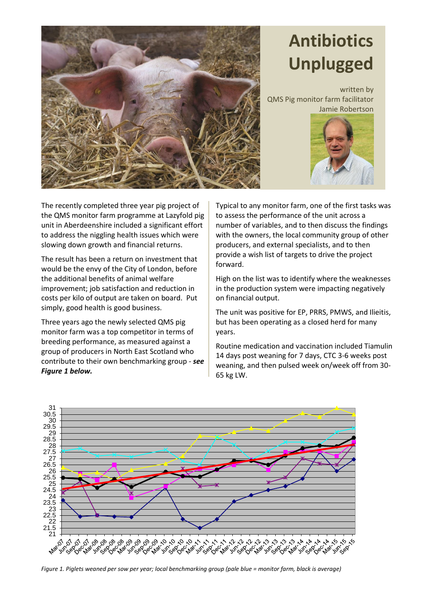

## **Antibiotics Unplugged**

written by QMS Pig monitor farm facilitator Jamie Robertson



The recently completed three year pig project of the QMS monitor farm programme at Lazyfold pig unit in Aberdeenshire included a significant effort to address the niggling health issues which were slowing down growth and financial returns.

The result has been a return on investment that would be the envy of the City of London, before the additional benefits of animal welfare improvement; job satisfaction and reduction in costs per kilo of output are taken on board. Put simply, good health is good business.

Three years ago the newly selected QMS pig monitor farm was a top competitor in terms of breeding performance, as measured against a group of producers in North East Scotland who contribute to their own benchmarking group - *see Figure 1 below.*

Typical to any monitor farm, one of the first tasks was to assess the performance of the unit across a number of variables, and to then discuss the findings with the owners, the local community group of other producers, and external specialists, and to then provide a wish list of targets to drive the project forward.

High on the list was to identify where the weaknesses in the production system were impacting negatively on financial output.

The unit was positive for EP, PRRS, PMWS, and Ilieitis, but has been operating as a closed herd for many years.

Routine medication and vaccination included Tiamulin 14 days post weaning for 7 days, CTC 3-6 weeks post weaning, and then pulsed week on/week off from 30- 65 kg LW.



*Figure 1. Piglets weaned per sow per year; local benchmarking group (pale blue = monitor farm, black is average)*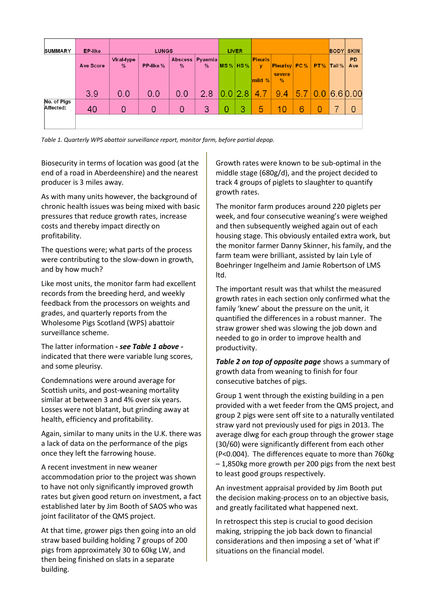| <b>SUMMARY</b>           | <b>EP-like</b>   | <b>LUNGS</b>                |           |                                      |               | <b>LIVER</b> |                |                     |                                      |        | <b>BODY</b> | <b>SKIN</b> |                  |
|--------------------------|------------------|-----------------------------|-----------|--------------------------------------|---------------|--------------|----------------|---------------------|--------------------------------------|--------|-------------|-------------|------------------|
|                          | <b>Ave Score</b> | Viral-type<br>$\frac{0}{2}$ | PP-like % | Abscess   Pyaemia  <br>$\frac{0}{2}$ | $\frac{9}{6}$ |              | $MS\%$ HS $\%$ | <b>Pleuris</b><br>v | <b>Pleurisy</b><br>severe            | $PC\%$ | PT%         | $ Tail \% $ | <b>PD</b><br>Ave |
|                          | 3.9              | 0.0                         | 0.0       | 0.0                                  | 2.8           | 0.0 2.8      |                | mild %<br>4.7       | $\frac{9}{6}$<br>$\overline{9}$<br>4 | 5.7    |             |             | 0.066000         |
| No. of Pigs<br>Affected: | 40               | 0                           | 0         | 0                                    | 3             |              | 3              | 5                   | 10                                   | 6      |             |             | O                |
|                          |                  |                             |           |                                      |               |              |                |                     |                                      |        |             |             |                  |

*Table 1. Quarterly WPS abattoir surveillance report, monitor farm, before partial depop.*

Biosecurity in terms of location was good (at the end of a road in Aberdeenshire) and the nearest producer is 3 miles away.

As with many units however, the background of chronic health issues was being mixed with basic pressures that reduce growth rates, increase costs and thereby impact directly on profitability.

The questions were; what parts of the process were contributing to the slow-down in growth, and by how much?

Like most units, the monitor farm had excellent records from the breeding herd, and weekly feedback from the processors on weights and grades, and quarterly reports from the Wholesome Pigs Scotland (WPS) abattoir surveillance scheme.

The latter information *- see Table 1 above*  indicated that there were variable lung scores, and some pleurisy.

Condemnations were around average for Scottish units, and post-weaning mortality similar at between 3 and 4% over six years. Losses were not blatant, but grinding away at health, efficiency and profitability.

Again, similar to many units in the U.K. there was a lack of data on the performance of the pigs once they left the farrowing house.

A recent investment in new weaner accommodation prior to the project was shown to have not only significantly improved growth rates but given good return on investment, a fact established later by Jim Booth of SAOS who was joint facilitator of the QMS project.

At that time, grower pigs then going into an old straw based building holding 7 groups of 200 pigs from approximately 30 to 60kg LW, and then being finished on slats in a separate building.

Growth rates were known to be sub-optimal in the middle stage (680g/d), and the project decided to track 4 groups of piglets to slaughter to quantify growth rates.

The monitor farm produces around 220 piglets per week, and four consecutive weaning's were weighed and then subsequently weighed again out of each housing stage. This obviously entailed extra work, but the monitor farmer Danny Skinner, his family, and the farm team were brilliant, assisted by Iain Lyle of Boehringer Ingelheim and Jamie Robertson of LMS ltd.

The important result was that whilst the measured growth rates in each section only confirmed what the family 'knew' about the pressure on the unit, it quantified the differences in a robust manner. The straw grower shed was slowing the job down and needed to go in order to improve health and productivity.

*Table 2 on top of opposite page* shows a summary of growth data from weaning to finish for four consecutive batches of pigs.

Group 1 went through the existing building in a pen provided with a wet feeder from the QMS project, and group 2 pigs were sent off site to a naturally ventilated straw yard not previously used for pigs in 2013. The average dlwg for each group through the grower stage (30/60) were significantly different from each other (P<0.004). The differences equate to more than 760kg – 1,850kg more growth per 200 pigs from the next best to least good groups respectively.

An investment appraisal provided by Jim Booth put the decision making-process on to an objective basis, and greatly facilitated what happened next.

In retrospect this step is crucial to good decision making, stripping the job back down to financial considerations and then imposing a set of 'what if' situations on the financial model.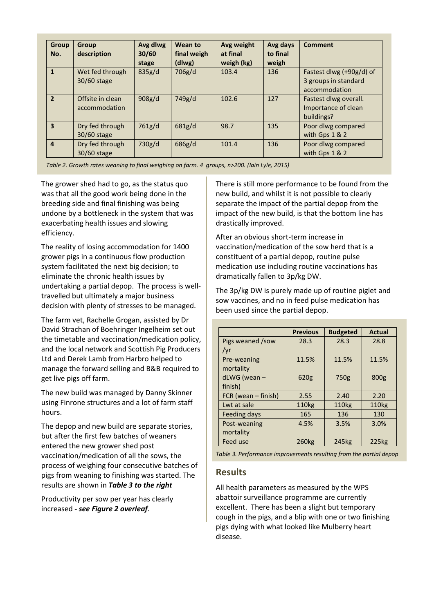| <b>Group</b><br>No. | <b>Group</b><br>description       | Avg dlwg<br>30/60<br>stage | Wean to<br>final weigh<br>(dlwg) | Avg weight<br>at final<br>weigh (kg) | Avg days<br>to final<br>weigh | Comment                                                           |
|---------------------|-----------------------------------|----------------------------|----------------------------------|--------------------------------------|-------------------------------|-------------------------------------------------------------------|
| $\mathbf{1}$        | Wet fed through<br>30/60 stage    | 835g/d                     | 706g/d                           | 103.4                                | 136                           | Fastest dlwg (+90g/d) of<br>3 groups in standard<br>accommodation |
| 2 <sup>1</sup>      | Offsite in clean<br>accommodation | 908g/d                     | 749g/d                           | 102.6                                | 127                           | Fastest dlwg overall.<br>Importance of clean<br>buildings?        |
| $\overline{3}$      | Dry fed through<br>30/60 stage    | 761g/d                     | 681g/d                           | 98.7                                 | 135                           | Poor dlwg compared<br>with Gps 1 & 2                              |
| $\overline{4}$      | Dry fed through<br>30/60 stage    | 730g/d                     | 686g/d                           | 101.4                                | 136                           | Poor dlwg compared<br>with Gps 1 & 2                              |

 *Table 2. Growth rates weaning to final weighing on farm. 4 groups, n>200. (Iain Lyle, 2015)*

The grower shed had to go, as the status quo was that all the good work being done in the breeding side and final finishing was being undone by a bottleneck in the system that was exacerbating health issues and slowing efficiency.

The reality of losing accommodation for 1400 grower pigs in a continuous flow production system facilitated the next big decision; to eliminate the chronic health issues by undertaking a partial depop. The process is welltravelled but ultimately a major business decision with plenty of stresses to be managed.

The farm vet, Rachelle Grogan, assisted by Dr David Strachan of Boehringer Ingelheim set out the timetable and vaccination/medication policy, and the local network and Scottish Pig Producers Ltd and Derek Lamb from Harbro helped to manage the forward selling and B&B required to get live pigs off farm.

The new build was managed by Danny Skinner using Finrone structures and a lot of farm staff hours.

The depop and new build are separate stories, but after the first few batches of weaners entered the new grower shed post vaccination/medication of all the sows, the process of weighing four consecutive batches of pigs from weaning to finishing was started. The results are shown in *Table 3 to the right*

Productivity per sow per year has clearly increased *- see Figure 2 overleaf*.

There is still more performance to be found from the new build, and whilst it is not possible to clearly separate the impact of the partial depop from the impact of the new build, is that the bottom line has drastically improved.

After an obvious short-term increase in vaccination/medication of the sow herd that is a constituent of a partial depop, routine pulse medication use including routine vaccinations has dramatically fallen to 3p/kg DW.

The 3p/kg DW is purely made up of routine piglet and sow vaccines, and no in feed pulse medication has been used since the partial depop.

|                     | <b>Previous</b>   | <b>Budgeted</b>   | <b>Actual</b>     |  |
|---------------------|-------------------|-------------------|-------------------|--|
| Pigs weaned /sow    | 28.3              | 28.3              | 28.8              |  |
| /yr                 |                   |                   |                   |  |
| Pre-weaning         | 11.5%             | 11.5%             | 11.5%             |  |
| mortality           |                   |                   |                   |  |
| dLWG (wean -        | 620g              | 750g              | 800g              |  |
| finish)             |                   |                   |                   |  |
| FCR (wean - finish) | 2.55              | 2.40              | 2.20              |  |
| Lwt at sale         | 110 <sub>kg</sub> | 110 <sub>kg</sub> | 110 <sub>kg</sub> |  |
| Feeding days        | 165               | 136               | 130               |  |
| Post-weaning        | 4.5%              | 3.5%              | 3.0%              |  |
| mortality           |                   |                   |                   |  |
| Feed use            | 260 <sub>kg</sub> | 245 <sub>kg</sub> | 225kg             |  |

*Table 3. Performance improvements resulting from the partial depop*

## **Results**

All health parameters as measured by the WPS abattoir surveillance programme are currently excellent. There has been a slight but temporary cough in the pigs, and a blip with one or two finishing pigs dying with what looked like Mulberry heart disease.